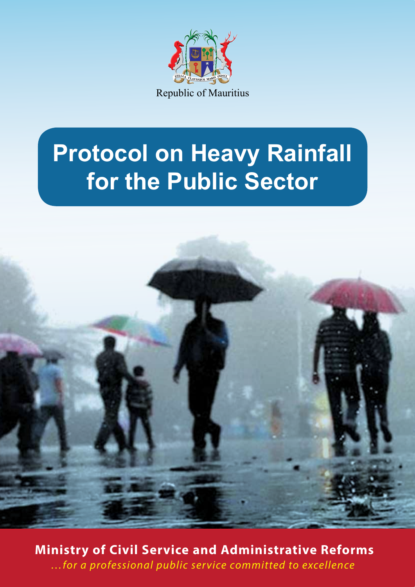

# **Protocol on Heavy Rainfall for the Public Sector**



 **Ministry of Civil Service and Administrative Reforms** *…for a professional public service committed to excellence*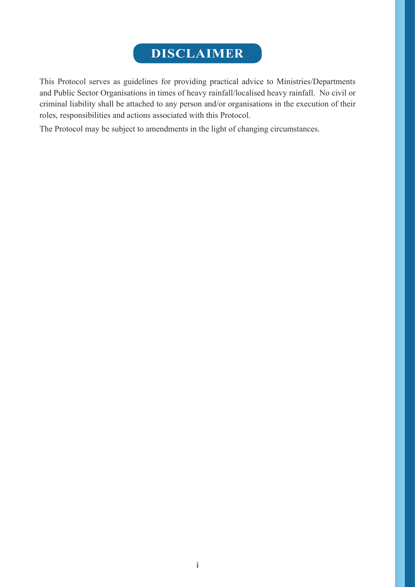# **Disclaimer**

This Protocol serves as guidelines for providing practical advice to Ministries/Departments and Public Sector Organisations in times of heavy rainfall/localised heavy rainfall. No civil or criminal liability shall be attached to any person and/or organisations in the execution of their roles, responsibilities and actions associated with this Protocol.

The Protocol may be subject to amendments in the light of changing circumstances.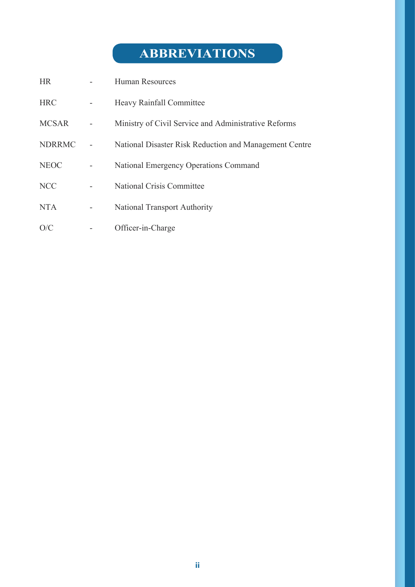# **ABBREVIATIONS**

| <b>HR</b>     |   | <b>Human Resources</b>                                 |
|---------------|---|--------------------------------------------------------|
| <b>HRC</b>    | ۰ | Heavy Rainfall Committee                               |
| <b>MCSAR</b>  |   | Ministry of Civil Service and Administrative Reforms   |
| <b>NDRRMC</b> |   | National Disaster Risk Reduction and Management Centre |
| <b>NEOC</b>   |   | National Emergency Operations Command                  |
| <b>NCC</b>    |   | National Crisis Committee                              |
| <b>NTA</b>    |   | <b>National Transport Authority</b>                    |
| O/C           |   | Officer-in-Charge                                      |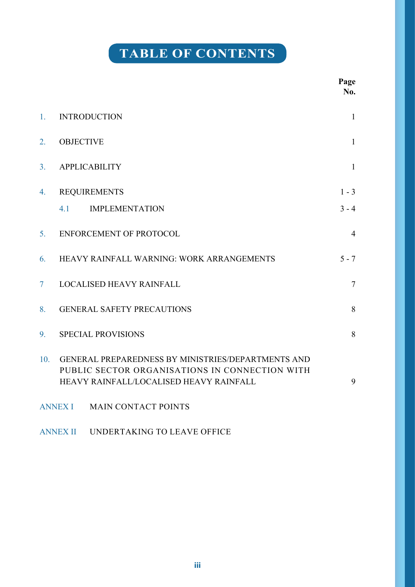# **Table of Contents**

**Page**

|                  |                                                                                                                                                 | No.            |
|------------------|-------------------------------------------------------------------------------------------------------------------------------------------------|----------------|
| 1 <sub>1</sub>   | <b>INTRODUCTION</b>                                                                                                                             | $\mathbf{1}$   |
| $\overline{2}$ . | <b>OBJECTIVE</b>                                                                                                                                | $\mathbf{1}$   |
| 3 <sub>1</sub>   | <b>APPLICABILITY</b>                                                                                                                            | $\mathbf{1}$   |
| 4.               | <b>REQUIREMENTS</b>                                                                                                                             | $1 - 3$        |
|                  | 4.1<br><b>IMPLEMENTATION</b>                                                                                                                    | $3 - 4$        |
| 5.               | ENFORCEMENT OF PROTOCOL                                                                                                                         | $\overline{4}$ |
| 6.               | HEAVY RAINFALL WARNING: WORK ARRANGEMENTS                                                                                                       | $5 - 7$        |
| $\overline{7}$   | <b>LOCALISED HEAVY RAINFALL</b>                                                                                                                 | $\overline{7}$ |
| 8.               | <b>GENERAL SAFETY PRECAUTIONS</b>                                                                                                               | 8              |
| 9.               | <b>SPECIAL PROVISIONS</b>                                                                                                                       | 8              |
| 10.              | GENERAL PREPAREDNESS BY MINISTRIES/DEPARTMENTS AND<br>PUBLIC SECTOR ORGANISATIONS IN CONNECTION WITH<br>HEAVY RAINFALL/LOCALISED HEAVY RAINFALL | 9              |
|                  | ANNEX I MAIN CONTACT POINTS                                                                                                                     |                |

# ANNEX II UNDERTAKING TO LEAVE OFFICE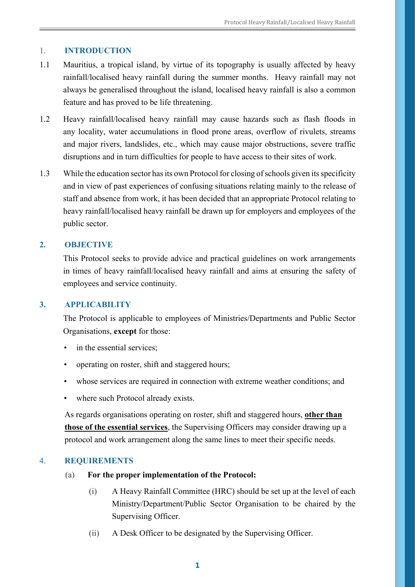#### 1. **INTRODUCTION**

- 1.1 Mauritius, a tropical island, by virtue of its topography is usually affected by heavy rainfall/localised heavy rainfall during the summer months. Heavy rainfall may not always be generalised throughout the island, localised heavy rainfall is also a common feature and has proved to be life threatening.
- 1.2 Heavy rainfall/localised heavy rainfall may cause hazards such as flash floods in any locality, water accumulations in flood prone areas, overflow of rivulets, streams and major rivers, landslides, etc., which may cause major obstructions, severe traffic disruptions and in turn difficulties for people to have access to their sites of work.
- 1.3 While the education sector has its own Protocol for closing of schools given its specificity and in view of past experiences of confusing situations relating mainly to the release of staff and absence from work, it has been decided that an appropriate Protocol relating to heavy rainfall/localised heavy rainfall be drawn up for employers and employees of the public sector.

#### **2. OBJECTIVE**

This Protocol seeks to provide advice and practical guidelines on work arrangements in times of heavy rainfall/localised heavy rainfall and aims at ensuring the safety of employees and service continuity.

#### **3. APPLICABILITY**

The Protocol is applicable to employees of Ministries/Departments and Public Sector Organisations, **except** for those:

- in the essential services:
- • operating on roster, shift and staggered hours;
- whose services are required in connection with extreme weather conditions; and
- where such Protocol already exists.

As regards organisations operating on roster, shift and staggered hours, **other than those of the essential services**, the Supervising Officers may consider drawing up a protocol and work arrangement along the same lines to meet their specific needs.

#### 4. **REQUIREMENTS**

- (a) **For the proper implementation of the Protocol:**
	- (i) A Heavy Rainfall Committee (HRC) should be set up at the level of each Ministry/Department/Public Sector Organisation to be chaired by the Supervising Officer.
	- (ii) A Desk Officer to be designated by the Supervising Officer.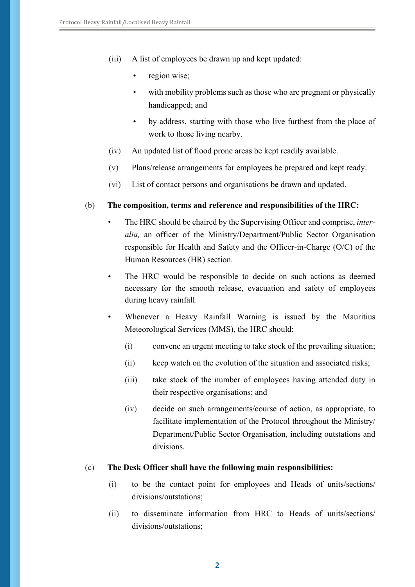- (iii) A list of employees be drawn up and kept updated:
	- region wise;
	- with mobility problems such as those who are pregnant or physically handicapped; and
	- by address, starting with those who live furthest from the place of work to those living nearby.
- (iv) An updated list of flood prone areas be kept readily available.
- (v) Plans/release arrangements for employees be prepared and kept ready.
- (vi) List of contact persons and organisations be drawn and updated.

#### (b) **The composition, terms and reference and responsibilities of the HRC:**

- The HRC should be chaired by the Supervising Officer and comprise, *interalia,* an officer of the Ministry/Department/Public Sector Organisation responsible for Health and Safety and the Officer-in-Charge (O/C) of the Human Resources (HR) section.
- The HRC would be responsible to decide on such actions as deemed necessary for the smooth release, evacuation and safety of employees during heavy rainfall.
- Whenever a Heavy Rainfall Warning is issued by the Mauritius Meteorological Services (MMS), the HRC should:
	- (i) convene an urgent meeting to take stock of the prevailing situation;
	- (ii) keep watch on the evolution of the situation and associated risks;
	- (iii) take stock of the number of employees having attended duty in their respective organisations; and
	- (iv) decide on such arrangements/course of action, as appropriate, to facilitate implementation of the Protocol throughout the Ministry/ Department/Public Sector Organisation, including outstations and divisions.

#### (c) **The Desk Officer shall have the following main responsibilities:**

- (i) to be the contact point for employees and Heads of units/sections/ divisions/outstations;
- (ii) to disseminate information from HRC to Heads of units/sections/ divisions/outstations;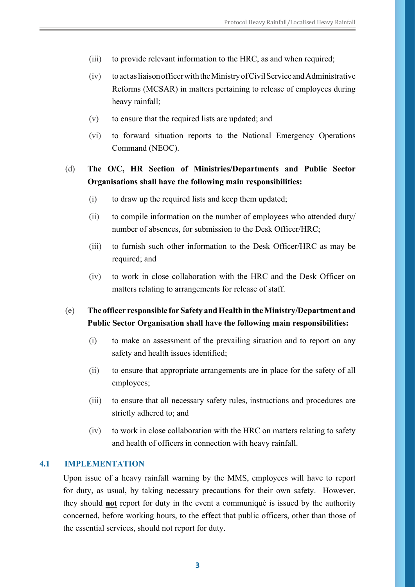- (iii) to provide relevant information to the HRC, as and when required;
- (iv) to act as liaison officer with the Ministry of Civil Service and Administrative Reforms (MCSAR) in matters pertaining to release of employees during heavy rainfall;
- (v) to ensure that the required lists are updated; and
- (vi) to forward situation reports to the National Emergency Operations Command (NEOC).

### (d) **The O/C, HR Section of Ministries/Departments and Public Sector Organisations shall have the following main responsibilities:**

- (i) to draw up the required lists and keep them updated;
- (ii) to compile information on the number of employees who attended duty/ number of absences, for submission to the Desk Officer/HRC;
- (iii) to furnish such other information to the Desk Officer/HRC as may be required; and
- (iv) to work in close collaboration with the HRC and the Desk Officer on matters relating to arrangements for release of staff.

## (e) **The officer responsible for Safety and Health in the Ministry/Department and Public Sector Organisation shall have the following main responsibilities:**

- (i) to make an assessment of the prevailing situation and to report on any safety and health issues identified;
- (ii) to ensure that appropriate arrangements are in place for the safety of all employees;
- (iii) to ensure that all necessary safety rules, instructions and procedures are strictly adhered to; and
- (iv) to work in close collaboration with the HRC on matters relating to safety and health of officers in connection with heavy rainfall.

#### **4.1 IMPLEMENTATION**

Upon issue of a heavy rainfall warning by the MMS, employees will have to report for duty, as usual, by taking necessary precautions for their own safety. However, they should **not** report for duty in the event a communiqué is issued by the authority concerned, before working hours, to the effect that public officers, other than those of the essential services, should not report for duty.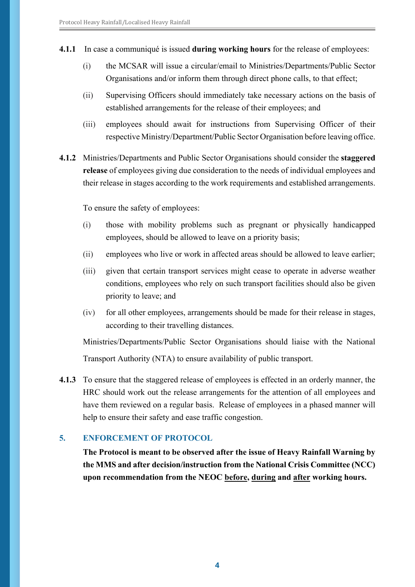- **4.1.1** In case a communiqué is issued **during working hours** for the release of employees:
	- (i) the MCSAR will issue a circular/email to Ministries/Departments/Public Sector Organisations and/or inform them through direct phone calls, to that effect;
	- (ii) Supervising Officers should immediately take necessary actions on the basis of established arrangements for the release of their employees; and
	- (iii) employees should await for instructions from Supervising Officer of their respective Ministry/Department/Public Sector Organisation before leaving office.
- **4.1.2** Ministries/Departments and Public Sector Organisations should consider the **staggered release** of employees giving due consideration to the needs of individual employees and their release in stages according to the work requirements and established arrangements.

To ensure the safety of employees:

- (i) those with mobility problems such as pregnant or physically handicapped employees, should be allowed to leave on a priority basis;
- (ii) employees who live or work in affected areas should be allowed to leave earlier;
- (iii) given that certain transport services might cease to operate in adverse weather conditions, employees who rely on such transport facilities should also be given priority to leave; and
- (iv) for all other employees, arrangements should be made for their release in stages, according to their travelling distances.

Ministries/Departments/Public Sector Organisations should liaise with the National Transport Authority (NTA) to ensure availability of public transport.

**4.1.3** To ensure that the staggered release of employees is effected in an orderly manner, the HRC should work out the release arrangements for the attention of all employees and have them reviewed on a regular basis. Release of employees in a phased manner will help to ensure their safety and ease traffic congestion.

### **5. ENFORCEMENT OF PROTOCOL**

**The Protocol is meant to be observed after the issue of Heavy Rainfall Warning by the MMS and after decision/instruction from the National Crisis Committee (NCC) upon recommendation from the NEOC before, during and after working hours.**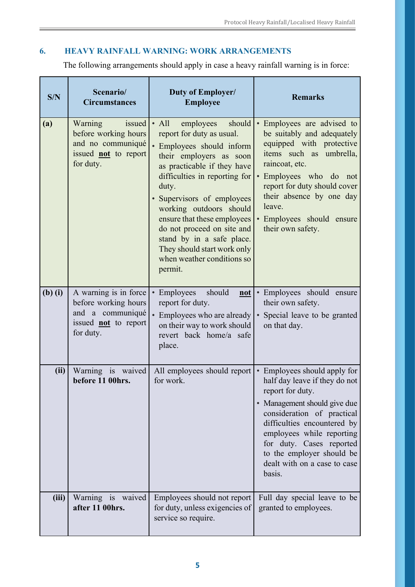# **6. HEAVY RAINFALL WARNING: WORK ARRANGEMENTS**

The following arrangements should apply in case a heavy rainfall warning is in force:

| S/N         | Scenario/<br><b>Circumstances</b>                                                                             | <b>Duty of Employer/</b><br><b>Employee</b>                                                                                                                                                                                                                                                                                                                                                                               | <b>Remarks</b>                                                                                                                                                                                                                                                                                                 |
|-------------|---------------------------------------------------------------------------------------------------------------|---------------------------------------------------------------------------------------------------------------------------------------------------------------------------------------------------------------------------------------------------------------------------------------------------------------------------------------------------------------------------------------------------------------------------|----------------------------------------------------------------------------------------------------------------------------------------------------------------------------------------------------------------------------------------------------------------------------------------------------------------|
| (a)         | Warning<br>issued<br>before working hours<br>and no communiqué<br>issued not to report<br>for duty.           | should<br>$\bullet$ All<br>employees<br>report for duty as usual.<br>Employees should inform<br>their employers as soon<br>as practicable if they have<br>difficulties in reporting for<br>duty.<br>Supervisors of employees<br>working outdoors should<br>ensure that these employees<br>do not proceed on site and<br>stand by in a safe place.<br>They should start work only<br>when weather conditions so<br>permit. | • Employees are advised to<br>be suitably and adequately<br>equipped with protective<br>items such as umbrella,<br>raincoat, etc.<br>• Employees who do not<br>report for duty should cover<br>their absence by one day<br>leave.<br>• Employees should ensure<br>their own safety.                            |
| $(b)$ $(i)$ | A warning is in force<br>before working hours<br>and a communiqué<br>issued <b>not</b> to report<br>for duty. | Employees<br>should<br>$\bullet$<br>not<br>report for duty.<br>Employees who are already<br>on their way to work should<br>revert back home/a safe<br>place.                                                                                                                                                                                                                                                              | • Employees should ensure<br>their own safety.<br>• Special leave to be granted<br>on that day.                                                                                                                                                                                                                |
| (ii)        | Warning is waived<br>before 11 00hrs.                                                                         | All employees should report<br>for work.                                                                                                                                                                                                                                                                                                                                                                                  | • Employees should apply for<br>half day leave if they do not<br>report for duty.<br>• Management should give due<br>consideration of practical<br>difficulties encountered by<br>employees while reporting<br>for duty. Cases reported<br>to the employer should be<br>dealt with on a case to case<br>basis. |
| (iii)       | Warning is waived<br>after 11 00hrs.                                                                          | Employees should not report<br>for duty, unless exigencies of<br>service so require.                                                                                                                                                                                                                                                                                                                                      | Full day special leave to be<br>granted to employees.                                                                                                                                                                                                                                                          |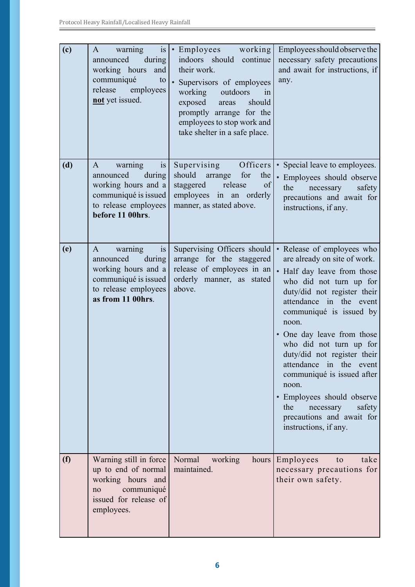| (c) | is<br>warning<br>$\mathbf{A}$<br>during<br>announced<br>working hours<br>and<br>communiqué<br>to<br>release<br>employees<br>not yet issued.      | $\bullet$ Employees<br>working<br>indoors should<br>continue<br>their work.<br>Supervisors of employees<br>working<br>outdoors<br>1n<br>should<br>exposed<br>areas<br>promptly arrange for the<br>employees to stop work and<br>take shelter in a safe place. | Employees should observe the<br>necessary safety precautions<br>and await for instructions, if<br>any.                                                                                                                                                                                                                                                                                                                                                                                            |
|-----|--------------------------------------------------------------------------------------------------------------------------------------------------|---------------------------------------------------------------------------------------------------------------------------------------------------------------------------------------------------------------------------------------------------------------|---------------------------------------------------------------------------------------------------------------------------------------------------------------------------------------------------------------------------------------------------------------------------------------------------------------------------------------------------------------------------------------------------------------------------------------------------------------------------------------------------|
| (d) | warning<br>is<br>$\mathbf{A}$<br>announced<br>during<br>working hours and a<br>communiqué is issued<br>to release employees<br>before 11 00hrs.  | Supervising<br>Officers<br>should arrange<br>for<br>the<br>of<br>staggered<br>release<br>employees in an orderly<br>manner, as stated above.                                                                                                                  | • Special leave to employees.<br>• Employees should observe<br>the<br>necessary<br>safety<br>precautions and await for<br>instructions, if any.                                                                                                                                                                                                                                                                                                                                                   |
| (e) | warning<br>is<br>$\mathbf{A}$<br>announced<br>during<br>working hours and a<br>communiqué is issued<br>to release employees<br>as from 11 00hrs. | Supervising Officers should<br>arrange for the staggered<br>release of employees in an<br>orderly manner, as stated<br>above.                                                                                                                                 | • Release of employees who<br>are already on site of work.<br>• Half day leave from those<br>who did not turn up for<br>duty/did not register their<br>attendance in the event<br>communiqué is issued by<br>noon.<br>• One day leave from those<br>who did not turn up for<br>duty/did not register their<br>attendance in the<br>event<br>communiqué is issued after<br>noon.<br>• Employees should observe<br>the<br>necessary<br>safety<br>precautions and await for<br>instructions, if any. |
| (f) | Warning still in force<br>up to end of normal<br>working hours and<br>communiqué<br>no<br>issued for release of<br>employees.                    | Normal<br>working<br>hours  <br>maintained.                                                                                                                                                                                                                   | take<br>Employees<br>to<br>necessary precautions for<br>their own safety.                                                                                                                                                                                                                                                                                                                                                                                                                         |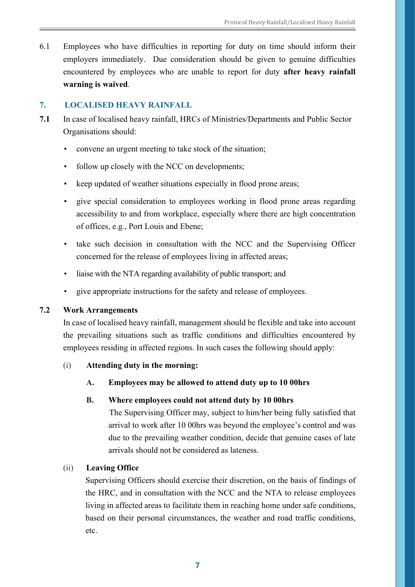6.1 Employees who have difficulties in reporting for duty on time should inform their employers immediately. Due consideration should be given to genuine difficulties encountered by employees who are unable to report for duty **after heavy rainfall warning is waived**.

### **7. LOCALISED HEAVY RAINFALL**

- **7.1** In case of localised heavy rainfall, HRCs of Ministries/Departments and Public Sector Organisations should:
	- convene an urgent meeting to take stock of the situation:
	- follow up closely with the NCC on developments;
	- keep updated of weather situations especially in flood prone areas;
	- give special consideration to employees working in flood prone areas regarding accessibility to and from workplace, especially where there are high concentration of offices, e.g., Port Louis and Ebene;
	- take such decision in consultation with the NCC and the Supervising Officer concerned for the release of employees living in affected areas;
	- liaise with the NTA regarding availability of public transport; and
	- give appropriate instructions for the safety and release of employees.

#### **7.2 Work Arrangements**

In case of localised heavy rainfall, management should be flexible and take into account the prevailing situations such as traffic conditions and difficulties encountered by employees residing in affected regions. In such cases the following should apply:

#### (i) **Attending duty in the morning:**

#### **A. Employees may be allowed to attend duty up to 10 00hrs**

#### **B. Where employees could not attend duty by 10 00hrs**

The Supervising Officer may, subject to him/her being fully satisfied that arrival to work after 10 00hrs was beyond the employee's control and was due to the prevailing weather condition, decide that genuine cases of late arrivals should not be considered as lateness.

#### (ii) **Leaving Office**

Supervising Officers should exercise their discretion, on the basis of findings of the HRC, and in consultation with the NCC and the NTA to release employees living in affected areas to facilitate them in reaching home under safe conditions, based on their personal circumstances, the weather and road traffic conditions, etc.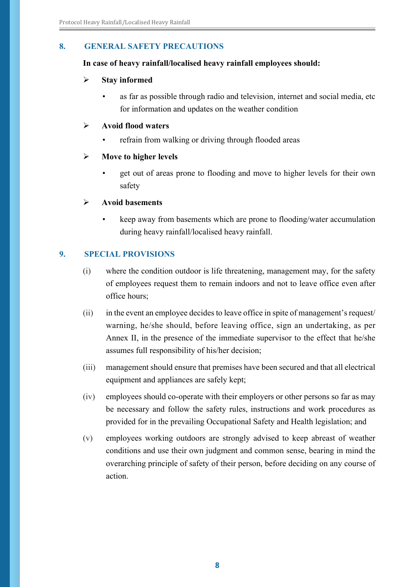#### **8. GENERAL SAFETY PRECAUTIONS**

#### **In case of heavy rainfall/localised heavy rainfall employees should:**

#### ¾ **Stay informed**

as far as possible through radio and television, internet and social media, etc for information and updates on the weather condition

#### ¾ **Avoid flood waters**

refrain from walking or driving through flooded areas

#### ¾ **Move to higher levels**

• get out of areas prone to flooding and move to higher levels for their own safety

#### ¾ **Avoid basements**

• keep away from basements which are prone to flooding/water accumulation during heavy rainfall/localised heavy rainfall.

#### **9. SPECIAL PROVISIONS**

- (i) where the condition outdoor is life threatening, management may, for the safety of employees request them to remain indoors and not to leave office even after office hours;
- (ii) in the event an employee decides to leave office in spite of management's request/ warning, he/she should, before leaving office, sign an undertaking, as per Annex II, in the presence of the immediate supervisor to the effect that he/she assumes full responsibility of his/her decision;
- (iii) management should ensure that premises have been secured and that all electrical equipment and appliances are safely kept;
- (iv) employees should co-operate with their employers or other persons so far as may be necessary and follow the safety rules, instructions and work procedures as provided for in the prevailing Occupational Safety and Health legislation; and
- (v) employees working outdoors are strongly advised to keep abreast of weather conditions and use their own judgment and common sense, bearing in mind the overarching principle of safety of their person, before deciding on any course of action.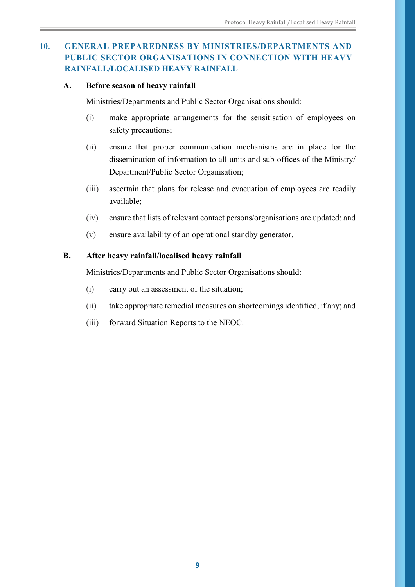# **10. GENERAL PREPAREDNESS BY MINISTRIES/DEPARTMENTS AND PUBLIC SECTOR ORGANISATIONS IN CONNECTION WITH HEAVY RAINFALL/LOCALISED HEAVY RAINFALL**

#### **A. Before season of heavy rainfall**

Ministries/Departments and Public Sector Organisations should:

- (i) make appropriate arrangements for the sensitisation of employees on safety precautions;
- (ii) ensure that proper communication mechanisms are in place for the dissemination of information to all units and sub-offices of the Ministry/ Department/Public Sector Organisation;
- (iii) ascertain that plans for release and evacuation of employees are readily available;
- (iv) ensure that lists of relevant contact persons/organisations are updated; and
- (v) ensure availability of an operational standby generator.

#### **B. After heavy rainfall/localised heavy rainfall**

Ministries/Departments and Public Sector Organisations should:

- (i) carry out an assessment of the situation;
- (ii) take appropriate remedial measures on shortcomings identified, if any; and
- (iii) forward Situation Reports to the NEOC.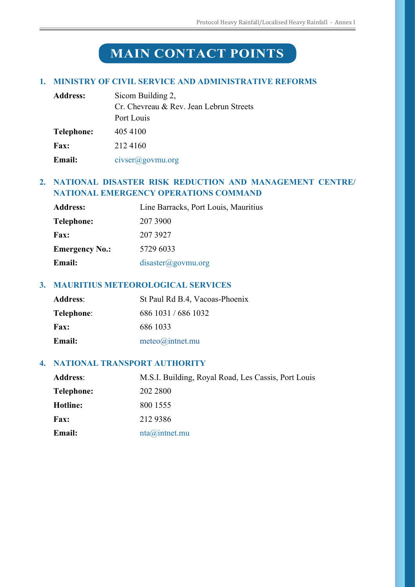# **Main Contact Points**

#### **1. MINISTRY OF CIVIL SERVICE AND ADMINISTRATIVE REFORMS**

| <b>Address:</b> | Sicom Building 2,                       |  |
|-----------------|-----------------------------------------|--|
|                 | Cr. Chevreau & Rev. Jean Lebrun Streets |  |
|                 | Port Louis                              |  |
| Telephone:      | 405 4100                                |  |
| <b>Fax:</b>     | 2124160                                 |  |
| <b>Email:</b>   | civser@govmu.org                        |  |

### **2. NATIONAL DISASTER RISK REDUCTION AND MANAGEMENT CENTRE/ NATIONAL EMERGENCY OPERATIONS COMMAND**

| Line Barracks, Port Louis, Mauritius |
|--------------------------------------|
| 207 3900                             |
| 207 3927                             |
| 5729 6033                            |
| $disaster(\theta)$ govmu.org         |
|                                      |

#### **3. MAURITIUS METEOROLOGICAL SERVICES**

| <b>Address:</b> | St Paul Rd B.4, Vacoas-Phoenix |
|-----------------|--------------------------------|
| Telephone:      | 686 1031 / 686 1032            |
| <b>Fax:</b>     | 686 1033                       |
| <b>Email:</b>   | $meteo(\widehat{a})$ intnet.mu |
|                 |                                |

#### **4. NATIONAL TRANSPORT AUTHORITY**

| <b>Address:</b> | M.S.I. Building, Royal Road, Les Cassis, Port Louis |
|-----------------|-----------------------------------------------------|
| Telephone:      | 202 2800                                            |
| Hotline:        | 800 1555                                            |
| <b>Fax:</b>     | 212 9386                                            |
| <b>Email:</b>   | $nta(\vec{a})$ intnet.mu                            |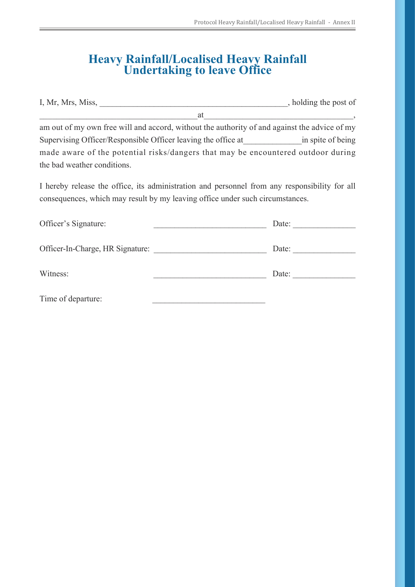# **Heavy Rainfall/Localised Heavy Rainfall Undertaking to leave Office**

| I, Mr, Mrs, Miss,           |                                                                                              | , holding the post of |
|-----------------------------|----------------------------------------------------------------------------------------------|-----------------------|
|                             | at                                                                                           |                       |
|                             | am out of my own free will and accord, without the authority of and against the advice of my |                       |
|                             | Supervising Officer/Responsible Officer leaving the office at                                | in spite of being     |
|                             | made aware of the potential risks/dangers that may be encountered outdoor during             |                       |
| the bad weather conditions. |                                                                                              |                       |

I hereby release the office, its administration and personnel from any responsibility for all consequences, which may result by my leaving office under such circumstances.

| Officer's Signature:             | Date: |
|----------------------------------|-------|
| Officer-In-Charge, HR Signature: | Date: |
| Witness:                         | Date: |
| Time of departure:               |       |